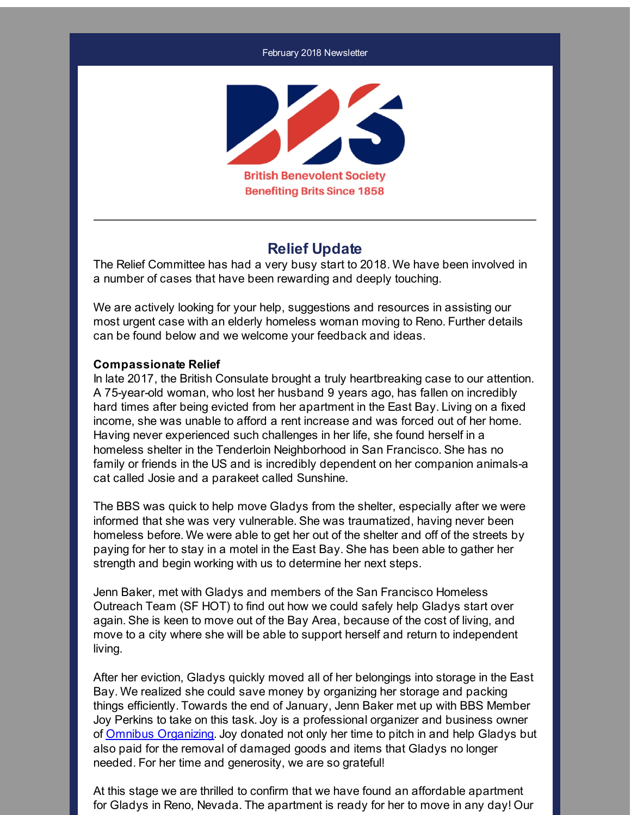#### February 2018 Newsletter



### **Relief Update**

The Relief Committee has had a very busy start to 2018. We have been involved in a number of cases that have been rewarding and deeply touching.

We are actively looking for your help, suggestions and resources in assisting our most urgent case with an elderly homeless woman moving to Reno. Further details can be found below and we welcome your feedback and ideas.

#### **Compassionate Relief**

In late 2017, the British Consulate brought a truly heartbreaking case to our attention. A 75-year-old woman, who lost her husband 9 years ago, has fallen on incredibly hard times after being evicted from her apartment in the East Bay. Living on a fixed income, she was unable to afford a rent increase and was forced out of her home. Having never experienced such challenges in her life, she found herself in a homeless shelter in the Tenderloin Neighborhood in San Francisco. She has no family or friends in the US and is incredibly dependent on her companion animals-a cat called Josie and a parakeet called Sunshine.

The BBS was quick to help move Gladys from the shelter, especially after we were informed that she was very vulnerable. She was traumatized, having never been homeless before. We were able to get her out of the shelter and off of the streets by paying for her to stay in a motel in the East Bay. She has been able to gather her strength and begin working with us to determine her next steps.

Jenn Baker, met with Gladys and members of the San Francisco Homeless Outreach Team (SF HOT) to find out how we could safely help Gladys start over again. She is keen to move out of the Bay Area, because of the cost of living, and move to a city where she will be able to support herself and return to independent living.

After her eviction, Gladys quickly moved all of her belongings into storage in the East Bay. We realized she could save money by organizing her storage and packing things efficiently. Towards the end of January, Jenn Baker met up with BBS Member Joy Perkins to take on this task. Joy is a professional organizer and business owner of Omnibus [Organizing](http://r20.rs6.net/tn.jsp?f=001rQHegaT1vyfhusSr0UjGGuQhN9GzT8_Q1u9oOGtSFJEj3CjwYZc1y1gwOXto0II1q5j3dSi6TcPZRUal_9q8DSpY876La7fkU6XVnQ9OwC0NG6pYd7izDSTIKwaaf1Xvs7_ESe96VJEkgilEuzehFv07NRkQL7cKU26HEzgwly9tCTFULM4zqw==&c=&ch=). Joy donated not only her time to pitch in and help Gladys but also paid for the removal of damaged goods and items that Gladys no longer needed. For her time and generosity, we are so grateful!

At this stage we are thrilled to confirm that we have found an affordable apartment for Gladys in Reno, Nevada. The apartment is ready for her to move in any day! Our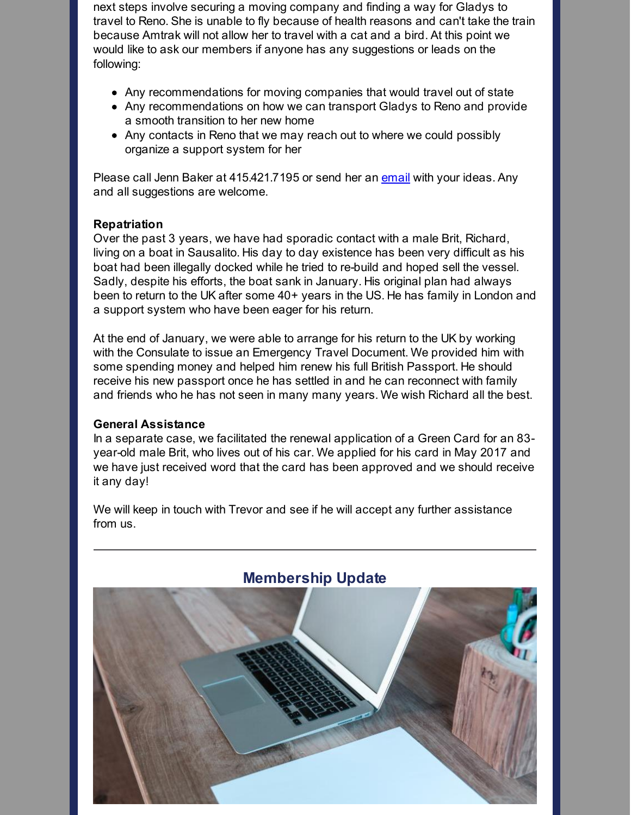next steps involve securing a moving company and finding a way for Gladys to travel to Reno. She is unable to fly because of health reasons and can't take the train because Amtrak will not allow her to travel with a cat and a bird. At this point we would like to ask our members if anyone has any suggestions or leads on the following:

- Any recommendations for moving companies that would travel out of state
- Any recommendations on how we can transport Gladys to Reno and provide a smooth transition to her new home
- Any contacts in Reno that we may reach out to where we could possibly organize a support system for her

Please call Jenn Baker at 415.421.7195 or send her an [email](mailto:jennifer.baker@bbsofca.org) with your ideas. Any and all suggestions are welcome.

### **Repatriation**

Over the past 3 years, we have had sporadic contact with a male Brit, Richard, living on a boat in Sausalito. His day to day existence has been very difficult as his boat had been illegally docked while he tried to re-build and hoped sell the vessel. Sadly, despite his efforts, the boat sank in January. His original plan had always been to return to the UK after some 40+ years in the US. He has family in London and a support system who have been eager for his return.

At the end of January, we were able to arrange for his return to the UK by working with the Consulate to issue an Emergency Travel Document. We provided him with some spending money and helped him renew his full British Passport. He should receive his new passport once he has settled in and he can reconnect with family and friends who he has not seen in many many years. We wish Richard all the best.

### **General Assistance**

In a separate case, we facilitated the renewal application of a Green Card for an 83 year-old male Brit, who lives out of his car. We applied for his card in May 2017 and we have just received word that the card has been approved and we should receive it any day!

We will keep in touch with Trevor and see if he will accept any further assistance from us.



# **Membership Update**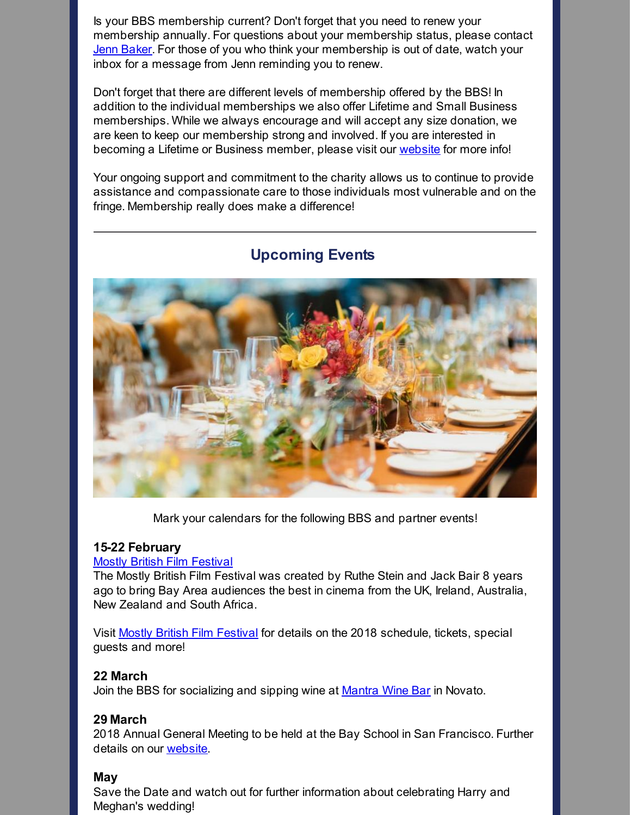Is your BBS membership current? Don't forget that you need to renew your membership annually. For questions about your membership status, please contact Jenn [Baker](mailto:jennifer.baker@bbsofca.org). For those of you who think your membership is out of date, watch your inbox for a message from Jenn reminding you to renew.

Don't forget that there are different levels of membership offered by the BBS! In addition to the individual memberships we also offer Lifetime and Small Business memberships. While we always encourage and will accept any size donation, we are keen to keep our membership strong and involved. If you are interested in becoming a Lifetime or Business member, please visit our [website](http://r20.rs6.net/tn.jsp?f=001rQHegaT1vyfhusSr0UjGGuQhN9GzT8_Q1u9oOGtSFJEj3CjwYZc1y-_anw3CfMY7FhqUxiVjY-pdTH_qdE6BsRlzUP1d7n5KbQ_KlAq_cqaDGKZRmp98QUQVPAf2_G0y3867mpvrB4-FEMFpEyPHOLkYuAgNu6FkoODNLMhblsDWbWmRshj48QS0CadEFVul&c=&ch=) for more info!

Your ongoing support and commitment to the charity allows us to continue to provide assistance and compassionate care to those individuals most vulnerable and on the fringe. Membership really does make a difference!



## **Upcoming Events**

Mark your calendars for the following BBS and partner events!

### **15-22 February**

### Mostly British Film [Festival](http://r20.rs6.net/tn.jsp?f=001rQHegaT1vyfhusSr0UjGGuQhN9GzT8_Q1u9oOGtSFJEj3CjwYZc1yyoE-K79vF7mU0R76asSokOtHJJfRcZuyOUBw-yX1X5ULQdeWm5g5Sm-yl9TbfobpBB00vq6-aIn0GiBnvMPRGCvdDnQp9siLtlgo09vLKkVhzBQ9R78hmA=&c=&ch=)

The Mostly British Film Festival was created by Ruthe Stein and Jack Bair 8 years ago to bring Bay Area audiences the best in cinema from the UK, Ireland, Australia, New Zealand and South Africa.

Visit Mostly British Film [Festival](http://r20.rs6.net/tn.jsp?f=001rQHegaT1vyfhusSr0UjGGuQhN9GzT8_Q1u9oOGtSFJEj3CjwYZc1yyoE-K79vF7mU0R76asSokOtHJJfRcZuyOUBw-yX1X5ULQdeWm5g5Sm-yl9TbfobpBB00vq6-aIn0GiBnvMPRGCvdDnQp9siLtlgo09vLKkVhzBQ9R78hmA=&c=&ch=) for details on the 2018 schedule, tickets, special guests and more!

### **22 March**

Join the BBS for socializing and sipping wine at **[Mantra](http://r20.rs6.net/tn.jsp?f=001rQHegaT1vyfhusSr0UjGGuQhN9GzT8_Q1u9oOGtSFJEj3CjwYZc1y1gwOXto0II1uzaPO5FA7WZZPjJncRqrbIps1R5CMF_oGeA5NV7GR9raebFwPnp5e5LCxBImU4Gw-HzZo2-76QX5kvKJV--HwDsQwz15hMGHs2Uy4Nyga6TUMAvSEVe6Tvu31WT-c_coaKt8vi1Cp7Q=&c=&ch=) Wine Bar** in Novato.

### **29 March**

2018 Annual General Meeting to be held at the Bay School in San Francisco. Further details on our [website](http://r20.rs6.net/tn.jsp?f=001rQHegaT1vyfhusSr0UjGGuQhN9GzT8_Q1u9oOGtSFJEj3CjwYZc1y1gwOXto0II1djeEowqZsfUzL-T6LWMqQD7LcoFHHJwFC65wgkToalrjys-6WU1QjzC0Hx6Tj7jrArhDoJRh5Yv3xoQdIMIB0V7O35e3CQvtMf5UZQtaLnh4DGzk43KsgPzpRj_o5nxwyRyt4IvjTD8sO7ctr0IGJhUFEZP7UNfbXlyo8_csKNc=&c=&ch=).

### **May**

Save the Date and watch out for further information about celebrating Harry and Meghan's wedding!